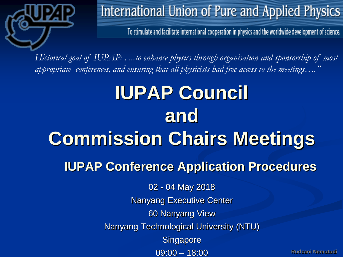

To stimulate and facilitate international cooperation in physics and the worldwide development of science.

*Historical goal of IUPAP: . ...to enhance physics through organisation and sponsorship of most appropriate conferences, and ensuring that all physicists had free access to the meetings…."*

# 02 - 04 May 2018 Nanyang Executive Center 60 Nanyang View Nanyang Technological University (NTU) **Singapore IUPAP Council and Commission Chairs Meetings IUPAP Conference Application Procedures**

09:00 – 18:00

**Rudzani Nemutudi**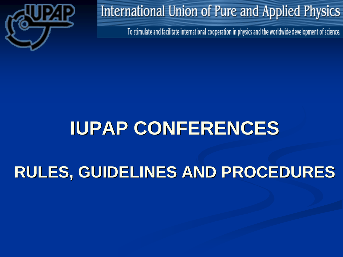

To stimulate and facilitate international cooperation in physics and the worldwide development of science.

# **IUPAP CONFERENCES**

# **RULES, GUIDELINES AND PROCEDURES**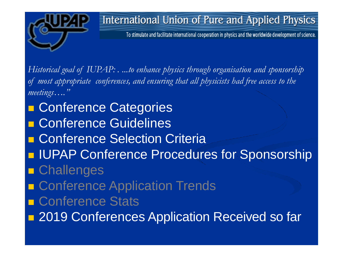

To stimulate and facilitate international cooperation in physics and the worldwide development of science.

*Historical goal of IUPAP: . ...to enhance physics through organisation and sponsorship of most appropriate conferences, and ensuring that all physicists had free access to the meetings…."*

■ Conference Categories **E Conference Guidelines E Conference Selection Criteria I** IUPAP Conference Procedures for Sponsorship **Challenges**  Conference Application Trends ■ Conference Stats **2019 Conferences Application Received so far**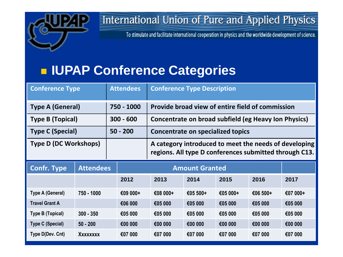

To stimulate and facilitate international cooperation in physics and the worldwide development of science.

## **IUPAP Conference Categories**

| <b>Conference Type</b>       |                  |         | <b>Attendees</b> | <b>Conference Type Description</b>                                                                              |          |          |          |          |  |  |
|------------------------------|------------------|---------|------------------|-----------------------------------------------------------------------------------------------------------------|----------|----------|----------|----------|--|--|
| <b>Type A (General)</b>      |                  |         | 750 - 1000       | Provide broad view of entire field of commission                                                                |          |          |          |          |  |  |
| Type B (Topical)             |                  |         | $300 - 600$      | Concentrate on broad subfield (eg Heavy Ion Physics)                                                            |          |          |          |          |  |  |
| <b>Type C (Special)</b>      |                  |         | $50 - 200$       | Concentrate on specialized topics                                                                               |          |          |          |          |  |  |
| <b>Type D (DC Workshops)</b> |                  |         |                  | A category introduced to meet the needs of developing<br>regions. All type D conferences submitted through C13. |          |          |          |          |  |  |
| <b>Confr. Type</b>           | <b>Attendees</b> |         |                  | <b>Amount Granted</b>                                                                                           |          |          |          |          |  |  |
|                              |                  |         | 2012             | 2013                                                                                                            | 2014     | 2015     | 2016     | 2017     |  |  |
| Type A (General)             | 750 - 1000       |         | €09 000+         | €08 000+                                                                                                        | €05 500+ | €05 000+ | €06 500+ | €07 000+ |  |  |
| <b>Travel Grant A</b>        |                  | €06 000 | €05 000          | €05 000                                                                                                         | €05 000  | €05 000  | €05 000  |          |  |  |
| <b>Type B (Topical)</b>      | $300 - 350$      |         | €05 000          | €05 000                                                                                                         | €05 000  | €05 000  | €05 000  | €05 000  |  |  |
| <b>Type C (Special)</b>      | $50 - 200$       |         | €00 000          | €00 000                                                                                                         | €00 000  | €00 000  | €00 000  | €00 000  |  |  |
| Type D(Dev. Cnt)             | Xxxxxxxx         |         | €07 000          | €07 000                                                                                                         | €07 000  | €07 000  | €07 000  | €07 000  |  |  |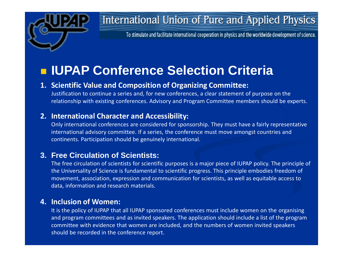

To stimulate and facilitate international cooperation in physics and the worldwide development of science.

## **ILIPAP Conference Selection Criteria**

#### **1. Scientific Value and Composition of Organizing Committee:**

Justification to continue a series and, for new conferences, a clear statement of purpose on the relationship with existing conferences. Advisory and Program Committee members should be experts.

#### **2. International Character and Accessibility:**

Only international conferences are considered for sponsorship. They must have a fairly representative international advisory committee. If a series, the conference must move amongst countries and continents. Participation should be genuinely international.

#### **3. Free Circulation of Scientists:**

The free circulation of scientists for scientific purposes is a major piece of IUPAP policy. The principle of the Universality of Science is fundamental to scientific progress. This principle embodies freedom of movement, association, expression and communication for scientists, as well as equitable access to data, information and research materials.

#### **4. Inclusion of Women:**

It is the policy of IUPAP that all IUPAP sponsored conferences must include women on the organising and program committees and as invited speakers. The application should include a list of the program committee with evidence that women are included, and the numbers of women invited speakers should be recorded in the conference report.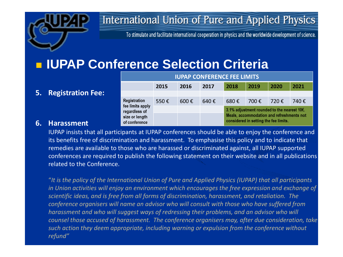

To stimulate and facilitate international cooperation in physics and the worldwide development of science.

## **IUPAP Conference Selection Criteria**

#### **5. Registration Fee:**

| IULAL CONFENENCE LEE EINITU                                                          |      |                    |      |                                                                                    |       |      |       |  |  |  |  |  |
|--------------------------------------------------------------------------------------|------|--------------------|------|------------------------------------------------------------------------------------|-------|------|-------|--|--|--|--|--|
|                                                                                      | 2015 | 2016               | 2017 | 2018                                                                               | 2019  | 2020 | 2021  |  |  |  |  |  |
|                                                                                      |      |                    |      |                                                                                    |       |      |       |  |  |  |  |  |
| Registration<br>fee limits apply<br>regardless of<br>size or length<br>of conference | 550€ | $600 \text{ } \in$ | 640€ | 680 $\epsilon$                                                                     | 700 € | 720€ | 740 € |  |  |  |  |  |
|                                                                                      |      |                    |      | 3.1% adjustment rounded to the nearest 10€.                                        |       |      |       |  |  |  |  |  |
|                                                                                      |      |                    |      | Meals, accommodation and refreshments not<br>considered in setting the fee limits. |       |      |       |  |  |  |  |  |

**ILIDAD CONFERENCE FFF LIMITS** 

#### **6. Harassment**

IUPAP insists that all participants at IUPAP conferences should be able to enjoy the conference and its benefits free of discrimination and harassment. To emphasise this policy and to indicate that remedies are available to those who are harassed or discriminated against, all IUPAP supported conferences are required to publish the following statement on their website and in all publications related to the Conference.

"*It is the policy of the International Union of Pure and Applied Physics (IUPAP) that all participants in Union activities will enjoy an environment which encourages the free expression and exchange of scientific ideas, and is free from all forms of discrimination, harassment, and retaliation. The conference organisers will name an advisor who will consult with those who have suffered from harassment and who will suggest ways of redressing their problems, and an advisor who will counsel those accused of harassment. The conference organisers may, after due consideration, take such action they deem appropriate, including warning or expulsion from the conference without refund"*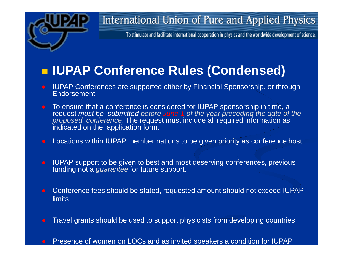

To stimulate and facilitate international cooperation in physics and the worldwide development of science.

## **IUPAP Conference Rules (Condensed)**

- **IUPAP Conferences are supported either by Financial Sponsorship, or through** Endorsement
- To ensure that a conference is considered for IUPAP sponsorship in time, a request *must be submitted before June 1 of the year preceding the date of the proposed conference*. The request must include all required information as indicated on the application form.
- Locations within IUPAP member nations to be given priority as conference host.
- IUPAP support to be given to best and most deserving conferences, previous funding not a *guarantee* for future support.
- Conference fees should be stated, requested amount should not exceed IUPAP limits
- Travel grants should be used to support physicists from developing countries
- Presence of women on LOCs and as invited speakers a condition for IUPAP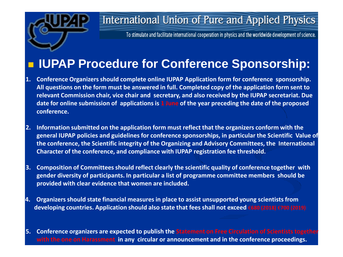

To stimulate and facilitate international cooperation in physics and the worldwide development of science.

## **IUPAP Procedure for Conference Sponsorship:**

- **1. Conference Organizers should complete online IUPAP Application form for conference sponsorship. All questions on the form must be answered in full. Completed copy of the application form sent to relevant Commission chair, vice chair and secretary, and also received by the IUPAP secretariat. Due date for online submission of applications is 1 June of the year preceding the date of the proposed conference.**
- **2. Information submitted on the application form must reflect that the organizers conform with the general IUPAP policies and guidelines for conference sponsorships, in particular the Scientific Value of the conference, the Scientific integrity of the Organizing and Advisory Committees, the International Character of the conference, and compliance with IUPAP registration fee threshold.**
- **3. Composition of Committees should reflect clearly the scientific quality of conference together with gender diversity of participants. In particular a list of programme committee members should be provided with clear evidence that women are included.**
- **4. Organizers should state financial measures in place to assist unsupported young scientists from developing countries. Application should also state that fees shall not exceed** €**680 (2018)** €**700 (2019)**
- **5. Conference organizers are expected to publish the Statement on Free Circulation of Scientists together with the one on Harassment in any circular or announcement and in the conference proceedings.**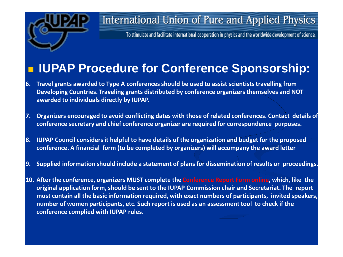

To stimulate and facilitate international cooperation in physics and the worldwide development of science.

## **IUPAP Procedure for Conference Sponsorship:**

- **6. Travel grants awarded to Type A conferences should be used to assist scientists travelling from Developing Countries. Traveling grants distributed by conference organizers themselves and NOT awarded to individuals directly by IUPAP.**
- **7. Organizers encouraged to avoid conflicting dates with those of related conferences. Contact details of conference secretary and chief conference organizer are required for correspondence purposes.**
- **8. IUPAP Council considers it helpful to have details of the organization and budget for the proposed conference. A financial form (to be completed by organizers) will accompany the award letter**
- **9. Supplied information should include a statement of plans for dissemination of results or proceedings.**
- **10. After the conference, organizers MUST complete the Conference Report Form online, which, like the original application form, should be sent to the IUPAP Commission chair and Secretariat. The report must contain all the basic information required, with exact numbers of participants, invited speakers, number of women participants, etc. Such report is used as an assessment tool to check if the conference complied with IUPAP rules.**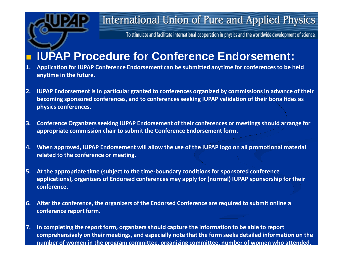

To stimulate and facilitate international cooperation in physics and the worldwide development of science.

## **IUPAP Procedure for Conference Endorsement:**

- **1. Application for IUPAP Conference Endorsement can be submitted anytime for conferences to be held anytime in the future.**
- **2. IUPAP Endorsement is in particular granted to conferences organized by commissions in advance of their becoming sponsored conferences, and to conferences seeking IUPAP validation of their bona fides as physics conferences.**
- **3. Conference Organizers seeking IUPAP Endorsement of their conferences or meetings should arrange for appropriate commission chair to submit the Conference Endorsement form.**
- **4. When approved, IUPAP Endorsement will allow the use of the IUPAP logo on all promotional material related to the conference or meeting.**
- **5. At the appropriate time (subject to the time-boundary conditions for sponsored conference applications), organizers of Endorsed conferences may apply for (normal) IUPAP sponsorship for their conference.**
- **6. After the conference, the organizers of the Endorsed Conference are required to submit online a conference report form.**
- **7. In completing the report form, organizers should capture the information to be able to report comprehensively on their meetings, and especially note that the form seeks detailed information on the number of women in the program committee, organizing committee, number of women who attended,**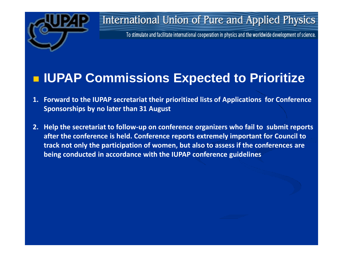

To stimulate and facilitate international cooperation in physics and the worldwide development of science.

## **IUPAP Commissions Expected to Prioritize**

- **1. Forward to the IUPAP secretariat their prioritized lists of Applications for Conference Sponsorships by no later than 31 August**
- **2. Help the secretariat to follow-up on conference organizers who fail to submit reports after the conference is held. Conference reports extremely important for Council to track not only the participation of women, but also to assess if the conferences are being conducted in accordance with the IUPAP conference guidelines**